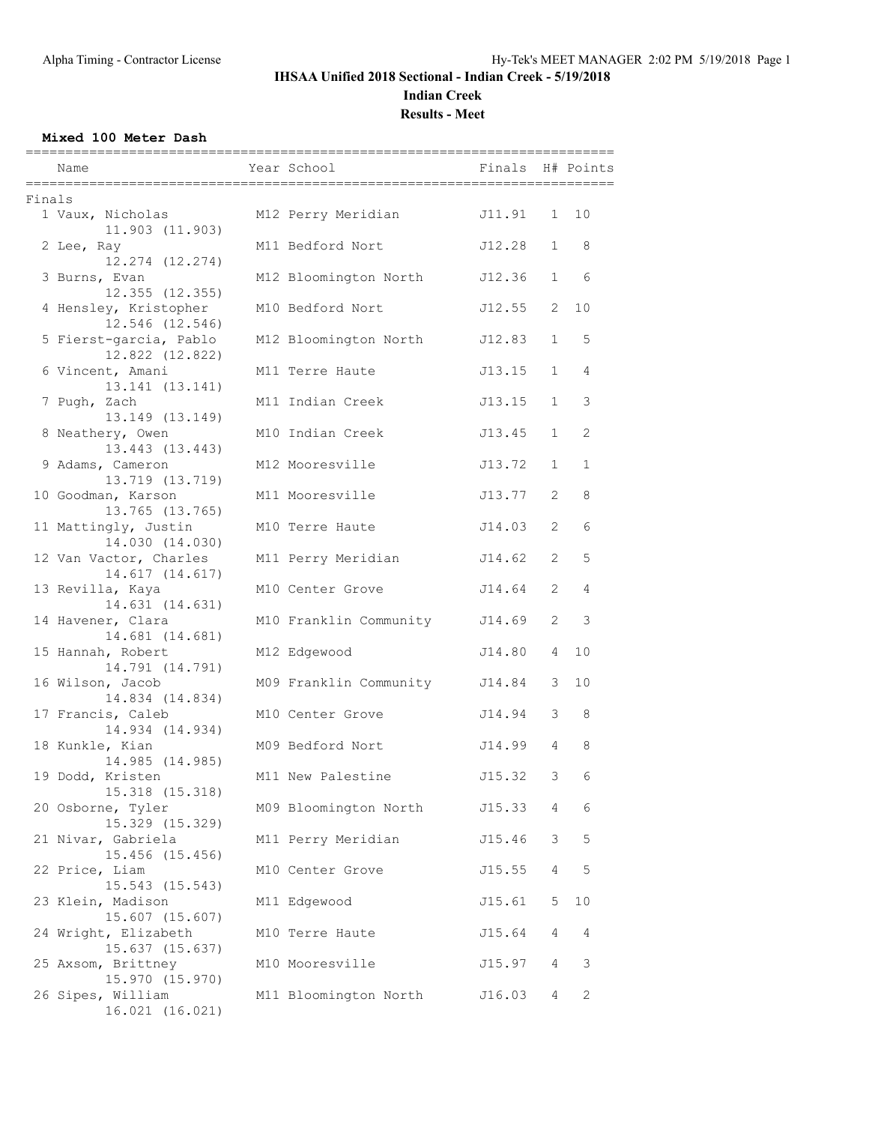## **IHSAA Unified 2018 Sectional - Indian Creek - 5/19/2018 Indian Creek**

**Results - Meet**

#### **Mixed 100 Meter Dash**

|        | Name                                      | Year School                   | Finals H# Points |                |                             |
|--------|-------------------------------------------|-------------------------------|------------------|----------------|-----------------------------|
| Finals |                                           |                               |                  |                |                             |
|        | 1 Vaux, Nicholas<br>11.903 (11.903)       | M12 Perry Meridian            | J11.91           |                | 1 10                        |
|        | 2 Lee, Ray<br>12.274 (12.274)             | M11 Bedford Nort              | J12.28           | 1              | 8                           |
|        | 3 Burns, Evan<br>$12.355$ $(12.355)$      | M12 Bloomington North         | J12.36           |                | 6<br>$1 \quad \blacksquare$ |
|        | 4 Hensley, Kristopher<br>12.546 (12.546)  | M10 Bedford Nort              | J12.55           | 2              | 10                          |
|        | 5 Fierst-garcia, Pablo<br>12.822 (12.822) | M12 Bloomington North         | J12.83           | $\mathbf{1}$   | 5                           |
|        | 6 Vincent, Amani<br>13.141 (13.141)       | M11 Terre Haute               | J13.15           | $\mathbf{1}$   | 4                           |
|        | 7 Pugh, Zach<br>13.149 (13.149)           | M11 Indian Creek              | J13.15           | $\mathbf{1}$   | 3                           |
|        | 8 Neathery, Owen<br>13.443 (13.443)       | M10 Indian Creek              | J13.45           | $\mathbf{1}$   | 2                           |
|        | 9 Adams, Cameron<br>13.719 (13.719)       | M12 Mooresville               | J13.72           | $\mathbf{1}$   | $\mathbf{1}$                |
|        | 10 Goodman, Karson<br>13.765 (13.765)     | M11 Mooresville               | J13.77           | 2              | 8                           |
|        | 11 Mattingly, Justin<br>14.030 (14.030)   | M10 Terre Haute               | J14.03           | 2              | 6                           |
|        | 12 Van Vactor, Charles<br>14.617 (14.617) | M11 Perry Meridian            | J14.62           | $\overline{2}$ | 5                           |
|        | 13 Revilla, Kaya<br>14.631 (14.631)       | M10 Center Grove              | J14.64           | 2              | 4                           |
|        | 14 Havener, Clara<br>14.681 (14.681)      | M10 Franklin Community        | J14.69           | 2              | 3                           |
|        | 15 Hannah, Robert<br>14.791 (14.791)      | M12 Edgewood                  | J14.80           | $\overline{4}$ | 10                          |
|        | 16 Wilson, Jacob<br>14.834 (14.834)       | M09 Franklin Community J14.84 |                  | 3              | 10                          |
|        | 17 Francis, Caleb<br>14.934 (14.934)      | M10 Center Grove              | J14.94           | 3              | 8                           |
|        | 18 Kunkle, Kian<br>14.985 (14.985)        | M09 Bedford Nort              | J14.99           | $\overline{4}$ | 8                           |
|        | 19 Dodd, Kristen<br>15.318 (15.318)       | M11 New Palestine             | J15.32           | 3              | 6                           |
|        | 20 Osborne, Tyler<br>15.329 (15.329)      | M09 Bloomington North         | J15.33           | $\overline{4}$ | 6                           |
|        | 21 Nivar, Gabriela<br>15.456 (15.456)     | M11 Perry Meridian            | J15.46           | 3 <sup>7</sup> | 5                           |
|        | 22 Price, Liam<br>15.543 (15.543)         | M10 Center Grove              | J15.55           | 4              | 5                           |
|        | 23 Klein, Madison<br>15.607 (15.607)      | M11 Edgewood                  | J15.61           | 5              | 10                          |
|        | 24 Wright, Elizabeth<br>15.637 (15.637)   | M10 Terre Haute               | J15.64           | 4              | 4                           |
|        | 25 Axsom, Brittney<br>15.970 (15.970)     | M10 Mooresville               | J15.97           | 4              | 3                           |
|        | 26 Sipes, William<br>16.021 (16.021)      | M11 Bloomington North         | J16.03           | 4              | 2                           |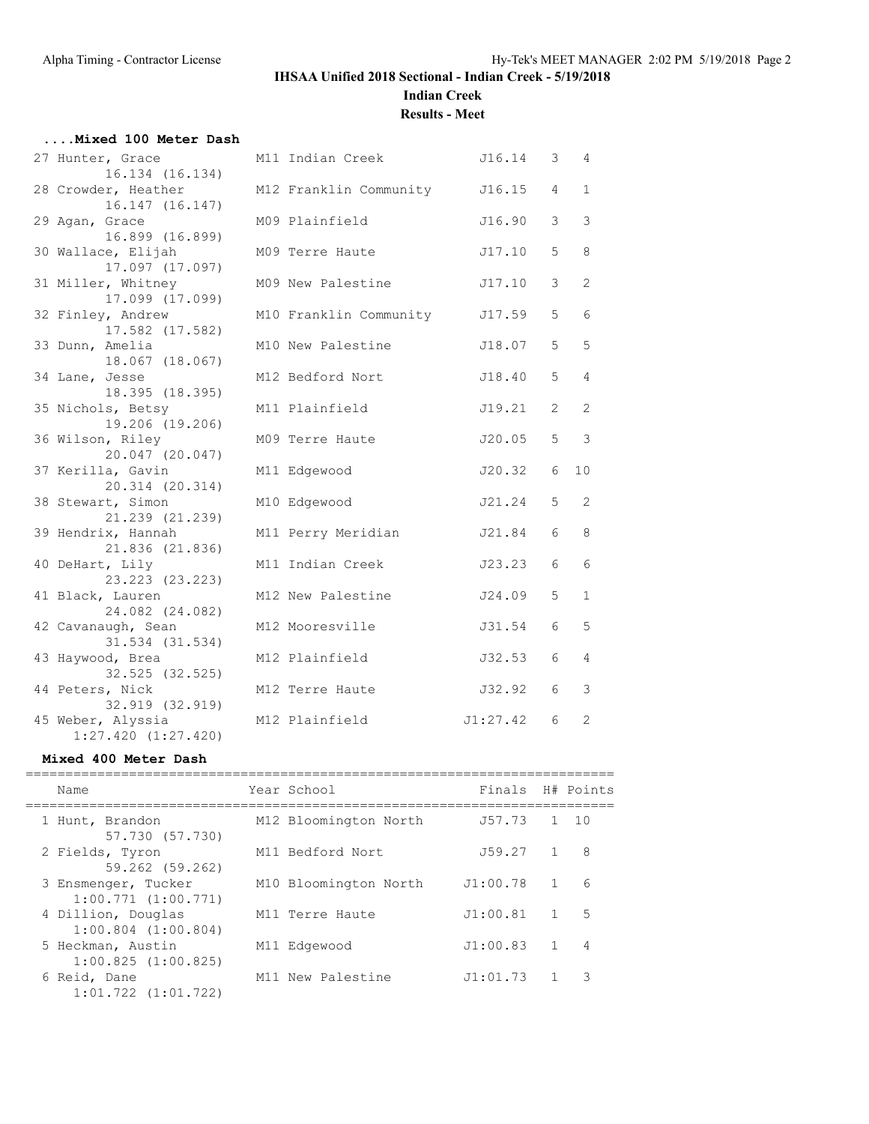#### **IHSAA Unified 2018 Sectional - Indian Creek - 5/19/2018 Indian Creek**

**Results - Meet**

| Mixed 100 Meter Dash                                            |                        |          |                |                |
|-----------------------------------------------------------------|------------------------|----------|----------------|----------------|
| 27 Hunter, Grace<br>16.134 (16.134)                             | M11 Indian Creek       | J16.14 3 |                | 4              |
| 28 Crowder, Heather<br>16.147 (16.147)                          | M12 Franklin Community | J16.15   | $\overline{4}$ | $\mathbf{1}$   |
| 29 Agan, Grace<br>16.899 (16.899)                               | M09 Plainfield         | J16.90   | 3              | 3              |
| 30 Wallace, Elijah<br>17.097 (17.097)                           | M09 Terre Haute        | J17.10   | 5              | 8              |
| 31 Miller, Whitney<br>17.099 (17.099)                           | M09 New Palestine      | J17.10   | 3              | 2              |
| 32 Finley, Andrew<br>17.582 (17.582)                            | M10 Franklin Community | J17.59   | 5              | 6              |
| 33 Dunn, Amelia<br>18.067 (18.067)                              | M10 New Palestine      | J18.07   | 5              | 5              |
| 34 Lane, Jesse<br>18.395 (18.395)                               | M12 Bedford Nort       | J18.40   | 5              | $\overline{4}$ |
| 35 Nichols, Betsy<br>19.206 (19.206)                            | M11 Plainfield         | J19.21   | 2              | 2              |
| 36 Wilson, Riley<br>20.047 (20.047)                             | M09 Terre Haute        | J20.05   | 5              | 3              |
| 37 Kerilla, Gavin<br>20.314 (20.314)                            | M11 Edgewood           | J20.32   | 6              | 10             |
| 38 Stewart, Simon<br>21.239 (21.239)                            | M10 Edgewood           | J21.24   | 5              | 2              |
| 39 Hendrix, Hannah<br>21.836 (21.836)                           | M11 Perry Meridian     | J21.84   | 6              | 8              |
| 40 DeHart, Lily<br>23.223 (23.223)                              | M11 Indian Creek       | J23.23   | 6              | 6              |
| 41 Black, Lauren<br>24.082 (24.082)                             | M12 New Palestine      | J24.09   | 5              | $\mathbf 1$    |
| 42 Cavanaugh, Sean<br>31.534 (31.534)                           | M12 Mooresville        | J31.54   | 6              | 5              |
| 43 Haywood, Brea<br>32.525 (32.525)                             | M12 Plainfield         | J32.53   | 6              | 4              |
| 44 Peters, Nick                                                 | M12 Terre Haute        | J32.92   | 6              | 3              |
| 32.919 (32.919)<br>45 Weber, Alyssia<br>$1:27.420$ $(1:27.420)$ | M12 Plainfield         | J1:27.42 | 6              | 2              |
|                                                                 |                        |          |                |                |

#### **Mixed 400 Meter Dash**

| Name                                           | Year School           | Finals H# Points |              |
|------------------------------------------------|-----------------------|------------------|--------------|
| 1 Hunt, Brandon<br>57.730 (57.730)             | M12 Bloomington North | J57.73           | $1 \quad 10$ |
| 2 Fields, Tyron<br>59.262 (59.262)             | M11 Bedford Nort      | J59.27           | 8            |
| 3 Ensmenger, Tucker<br>$1:00.771$ $(1:00.771)$ | M10 Bloomington North | J1:00.78         | 6            |
| 4 Dillion, Douglas<br>$1:00.804$ $(1:00.804)$  | M11 Terre Haute       | J1:00.81         | 5            |
| 5 Heckman, Austin<br>1:00.825(1:00.825)        | M11 Edgewood          | J1:00.83         | 4            |
| 6 Reid, Dane<br>$1:01.722$ $(1:01.722)$        | M11 New Palestine     | J1:01.73         | 3            |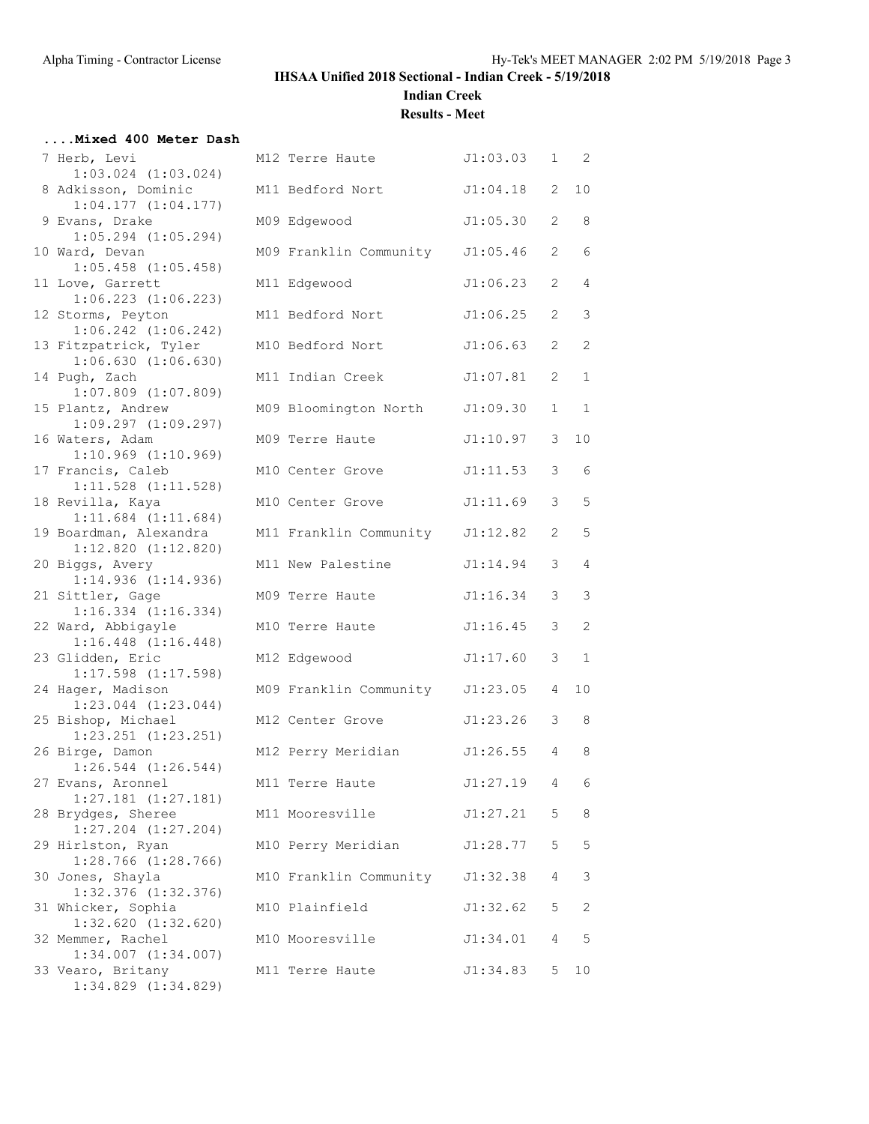**Indian Creek**

**Results - Meet**

# **....Mixed 400 Meter Dash**

| mixed 400 meter Dasn                                           |                        |          |                       |                |
|----------------------------------------------------------------|------------------------|----------|-----------------------|----------------|
| 7 Herb, Levi                                                   | M12 Terre Haute        | J1:03.03 | 1                     | 2              |
| $1:03.024$ $(1:03.024)$<br>8 Adkisson, Dominic                 | M11 Bedford Nort       | J1:04.18 | 2                     | 10             |
| $1:04.177$ $(1:04.177)$<br>9 Evans, Drake                      | M09 Edgewood           | J1:05.30 | 2                     | 8              |
| $1:05.294$ $(1:05.294)$<br>10 Ward, Devan                      | M09 Franklin Community | J1:05.46 | $\mathbf{2}^{\prime}$ | 6              |
| $1:05.458$ $(1:05.458)$<br>11 Love, Garrett                    | M11 Edgewood           | J1:06.23 | $\mathbf{2}^{\prime}$ | $\overline{4}$ |
| $1:06.223$ $(1:06.223)$<br>12 Storms, Peyton                   | M11 Bedford Nort       | J1:06.25 | $\overline{2}$        | 3              |
| $1:06.242$ $(1:06.242)$<br>13 Fitzpatrick, Tyler               | M10 Bedford Nort       | J1:06.63 | $\mathbf{2}^{\prime}$ | 2              |
| 1:06.630(1:06.630)<br>14 Pugh, Zach<br>$1:07.809$ $(1:07.809)$ | M11 Indian Creek       | J1:07.81 | 2                     | $\mathbf{1}$   |
| 15 Plantz, Andrew<br>$1:09.297$ $(1:09.297)$                   | M09 Bloomington North  | J1:09.30 | $\mathbf{1}$          | $\mathbf{1}$   |
| 16 Waters, Adam<br>$1:10.969$ $(1:10.969)$                     | M09 Terre Haute        | J1:10.97 | 3                     | 10             |
| 17 Francis, Caleb<br>$1:11.528$ $(1:11.528)$                   | M10 Center Grove       | J1:11.53 | 3                     | 6              |
| 18 Revilla, Kaya<br>$1:11.684$ $(1:11.684)$                    | M10 Center Grove       | J1:11.69 | 3                     | 5              |
| 19 Boardman, Alexandra<br>$1:12.820$ $(1:12.820)$              | M11 Franklin Community | J1:12.82 | 2                     | 5              |
| 20 Biggs, Avery<br>1:14.936(1:14.936)                          | M11 New Palestine      | J1:14.94 | 3                     | $\overline{4}$ |
| 21 Sittler, Gage<br>$1:16.334$ $(1:16.334)$                    | M09 Terre Haute        | J1:16.34 | 3                     | 3              |
| 22 Ward, Abbigayle<br>$1:16.448$ $(1:16.448)$                  | M10 Terre Haute        | J1:16.45 | 3                     | 2              |
| 23 Glidden, Eric<br>$1:17.598$ $(1:17.598)$                    | M12 Edgewood           | J1:17.60 | 3                     | $\mathbf{1}$   |
| 24 Hager, Madison<br>$1:23.044$ $(1:23.044)$                   | M09 Franklin Community | J1:23.05 | 4                     | 10             |
| 25 Bishop, Michael<br>$1:23.251$ $(1:23.251)$                  | M12 Center Grove       | J1:23.26 | 3                     | 8              |
| 26 Birge, Damon<br>$1:26.544$ $(1:26.544)$                     | M12 Perry Meridian     | J1:26.55 | 4                     | 8              |
| 27 Evans, Aronnel<br>$1:27.181$ $(1:27.181)$                   | M11 Terre Haute        | J1:27.19 | 4                     | 6              |
| 28 Brydges, Sheree<br>$1:27.204$ $(1:27.204)$                  | M11 Mooresville        | J1:27.21 | 5                     | 8              |
| 29 Hirlston, Ryan<br>$1:28.766$ $(1:28.766)$                   | M10 Perry Meridian     | J1:28.77 | 5                     | $\mathsf S$    |
| 30 Jones, Shayla<br>$1:32.376$ $(1:32.376)$                    | M10 Franklin Community | J1:32.38 | 4                     | 3              |
| 31 Whicker, Sophia<br>$1:32.620$ $(1:32.620)$                  | M10 Plainfield         | J1:32.62 | 5                     | 2              |
| 32 Memmer, Rachel<br>$1:34.007$ $(1:34.007)$                   | M10 Mooresville        | J1:34.01 | 4                     | 5              |
|                                                                |                        |          |                       |                |

33 Vearo, Britany M1 1:34.829 (1:34.829)

| $1:03.024$ $(1:03.024)$                                              |                                 |          |                |             |
|----------------------------------------------------------------------|---------------------------------|----------|----------------|-------------|
| 8 Adkisson, Dominic<br>1:04.177(1:04.177)                            | M11 Bedford Nort                | J1:04.18 | $\mathbf{2}$   | 10          |
| 9 Evans, Drake<br>$1:05.294$ $(1:05.294)$                            | M09 Edgewood                    | J1:05.30 | 2              | 8           |
| 10 Ward, Devan<br>$1:05.458$ $(1:05.458)$                            | M09 Franklin Community J1:05.46 |          | $\overline{2}$ | 6           |
| 11 Love, Garrett<br>$1:06.223$ $(1:06.223)$                          | M11 Edgewood                    | J1:06.23 | 2              | 4           |
| 12 Storms, Peyton<br>$1:06.242$ $(1:06.242)$                         | M11 Bedford Nort                | J1:06.25 | 2              | $\mathsf 3$ |
| 13 Fitzpatrick, Tyler<br>$1:06.630$ $(1:06.630)$                     | M10 Bedford Nort                | J1:06.63 | 2              | 2           |
| 14 Pugh, Zach<br>$1:07.809$ $(1:07.809)$                             | M11 Indian Creek                | J1:07.81 | 2              | $\mathbf 1$ |
| 15 Plantz, Andrew<br>$1:09.297$ $(1:09.297)$                         | M09 Bloomington North           | J1:09.30 | $\mathbf 1$    | $\mathbf 1$ |
| 16 Waters, Adam<br>$1:10.969$ $(1:10.969)$                           | M09 Terre Haute                 | J1:10.97 | 3              | 10          |
| 17 Francis, Caleb<br>$1:11.528$ $(1:11.528)$                         | M10 Center Grove                | J1:11.53 | 3              | 6           |
| 18 Revilla, Kaya<br>$1:11.684$ $(1:11.684)$                          | M10 Center Grove                | J1:11.69 | 3              | 5           |
| 19 Boardman, Alexandra<br>$1:12.820$ $(1:12.820)$                    | M11 Franklin Community J1:12.82 |          | 2              | 5           |
| 20 Biggs, Avery<br>1:14.936(1:14.936)                                | M11 New Palestine               | J1:14.94 | 3              | 4           |
| 21 Sittler, Gage<br>$1:16.334$ $(1:16.334)$                          | M09 Terre Haute                 | J1:16.34 | 3              | 3           |
| 22 Ward, Abbigayle                                                   | M10 Terre Haute                 | J1:16.45 | 3              | 2           |
| $1:16.448$ $(1:16.448)$<br>23 Glidden, Eric                          | M12 Edgewood                    | J1:17.60 | 3              | $\mathbf 1$ |
| $1:17.598$ $(1:17.598)$<br>24 Hager, Madison                         | M09 Franklin Community J1:23.05 |          | $\overline{4}$ | 10          |
| $1:23.044$ $(1:23.044)$<br>25 Bishop, Michael<br>1:23.251 (1:23.251) | M12 Center Grove                | J1:23.26 | 3              | 8           |
| 26 Birge, Damon<br>$1:26.544$ $(1:26.544)$                           | M12 Perry Meridian              | J1:26.55 | 4              | 8           |
| 27 Evans, Aronnel<br>$1:27.181$ $(1:27.181)$                         | M11 Terre Haute                 | J1:27.19 | 4              | 6           |
| 28 Brydges, Sheree<br>$1:27.204$ $(1:27.204)$                        | M11 Mooresville                 | J1:27.21 | 5              | 8           |
| 29 Hirlston, Ryan<br>1:28.766 (1:28.766)                             | M10 Perry Meridian              | J1:28.77 | 5              | 5           |
| 30 Jones, Shayla<br>$1:32.376$ $(1:32.376)$                          | M10 Franklin Community          | J1:32.38 | 4              | 3           |
| 31 Whicker, Sophia                                                   | M10 Plainfield                  | J1:32.62 | 5              | 2           |
| $1:32.620$ $(1:32.620)$<br>32 Memmer, Rachel                         | M10 Mooresville                 | J1:34.01 | 4              | 5           |
| $1:34.007$ $(1:34.007)$<br>33 Vearo, Britany                         | M11 Terre Haute                 | J1:34.83 | 5              | 10          |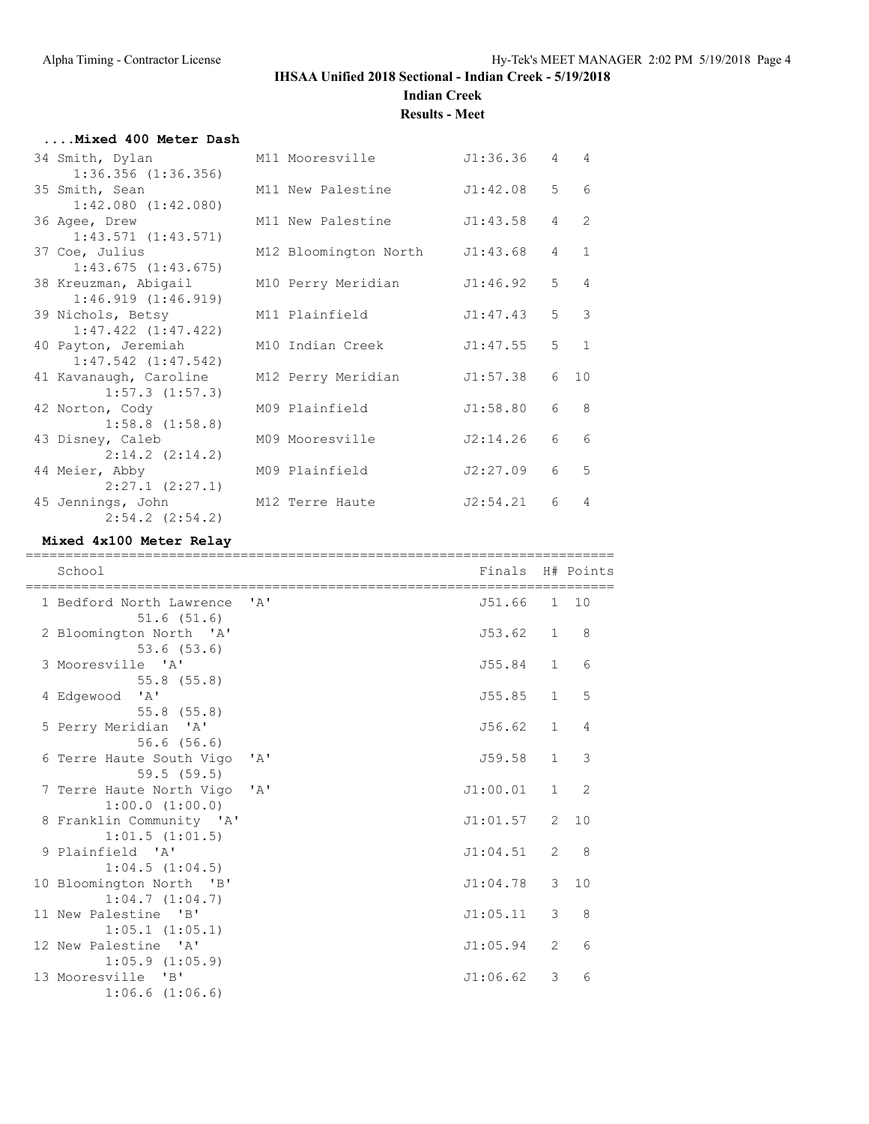# **Indian Creek**

**Results - Meet**

| Mixed 400 Meter Dash                           |                                |          |                  |                |
|------------------------------------------------|--------------------------------|----------|------------------|----------------|
| 34 Smith, Dylan<br>$1:36.356$ $(1:36.356)$     | M11 Mooresville                | J1:36.36 |                  | $4\quad 4$     |
| 35 Smith, Sean<br>$1:42.080$ $(1:42.080)$      | M11 New Palestine              | J1:42.08 | $5 -$            | 6              |
| 36 Agee, Drew<br>$1:43.571$ $(1:43.571)$       | M11 New Palestine              | J1:43.58 | $4\degree$       | $\overline{2}$ |
| 37 Coe, Julius<br>1:43.675(1:43.675)           | M12 Bloomington North J1:43.68 |          |                  | $4\quad1$      |
| 38 Kreuzman, Abigail<br>1:46.919(1:46.919)     | M10 Perry Meridian             | J1:46.92 |                  | $5 \quad 4$    |
| 39 Nichols, Betsy<br>$1:47.422$ $(1:47.422)$   | M11 Plainfield                 | J1:47.43 |                  | $5 \quad 3$    |
| 40 Payton, Jeremiah<br>$1:47.542$ $(1:47.542)$ | M10 Indian Creek               | J1:47.55 |                  | $5 \quad 1$    |
| 41 Kavanaugh, Caroline<br>$1:57.3$ $(1:57.3)$  | M12 Perry Meridian             | J1:57.38 | 6                | 10             |
| 42 Norton, Cody<br>$1:58.8$ $(1:58.8)$         | M09 Plainfield                 | J1:58.80 | 6                | - 8            |
| 43 Disney, Caleb<br>$2:14.2$ $(2:14.2)$        | M09 Mooresville                | J2:14.26 | 6                | 6              |
| 44 Meier, Abby<br>$2:27.1$ $(2:27.1)$          | M09 Plainfield                 | J2:27.09 | $6 \overline{6}$ | 5              |
| 45 Jennings, John<br>$2:54.2$ $(2:54.2)$       | M12 Terre Haute                | J2:54.21 | 6                | $\overline{4}$ |

#### **Mixed 4x100 Meter Relay**

| School                                              | Finals H# Points |                |                |
|-----------------------------------------------------|------------------|----------------|----------------|
| 1 Bedford North Lawrence 'A'<br>51.6(51.6)          | J51.66 1 10      |                |                |
| 2 Bloomington North 'A'<br>$53.6$ $(53.6)$          | J53.62 1         |                | - 8            |
| 3 Mooresville 'A'<br>$55.8$ $(55.8)$                | J55.84 1         |                | 6              |
| 4 Edgewood 'A'<br>$55.8$ $(55.8)$                   | J55.85           | $\mathbf{1}$   | 5              |
| 5 Perry Meridian 'A'<br>56.6(56.6)                  | J56.62           | $\mathbf{1}$   | $\overline{4}$ |
| 6 Terre Haute South Vigo 'A'<br>59.5(59.5)          | J59.58           | $\mathbf{1}$   | 3              |
| 7 Terre Haute North Vigo 'A'<br>$1:00.0$ $(1:00.0)$ | J1:00.01         | $\mathbf{1}$   | 2              |
| 8 Franklin Community 'A'<br>1:01.5(1:01.5)          | J1:01.57 2       |                | 10             |
| 9 Plainfield 'A'<br>1:04.5(1:04.5)                  | J1:04.51         | 2              | 8              |
| 10 Bloomington North 'B'<br>1:04.7(1:04.7)          | J1:04.78 3       |                | 10             |
| 11 New Palestine 'B'<br>$1:05.1$ $(1:05.1)$         | J1:05.11         | 3              | 8              |
| 12 New Palestine 'A'<br>$1:05.9$ $(1:05.9)$         | J1:05.94         | $\overline{2}$ | 6              |
| 13 Mooresville 'B'<br>$1:06.6$ $(1:06.6)$           | J1:06.62         | 3              | 6              |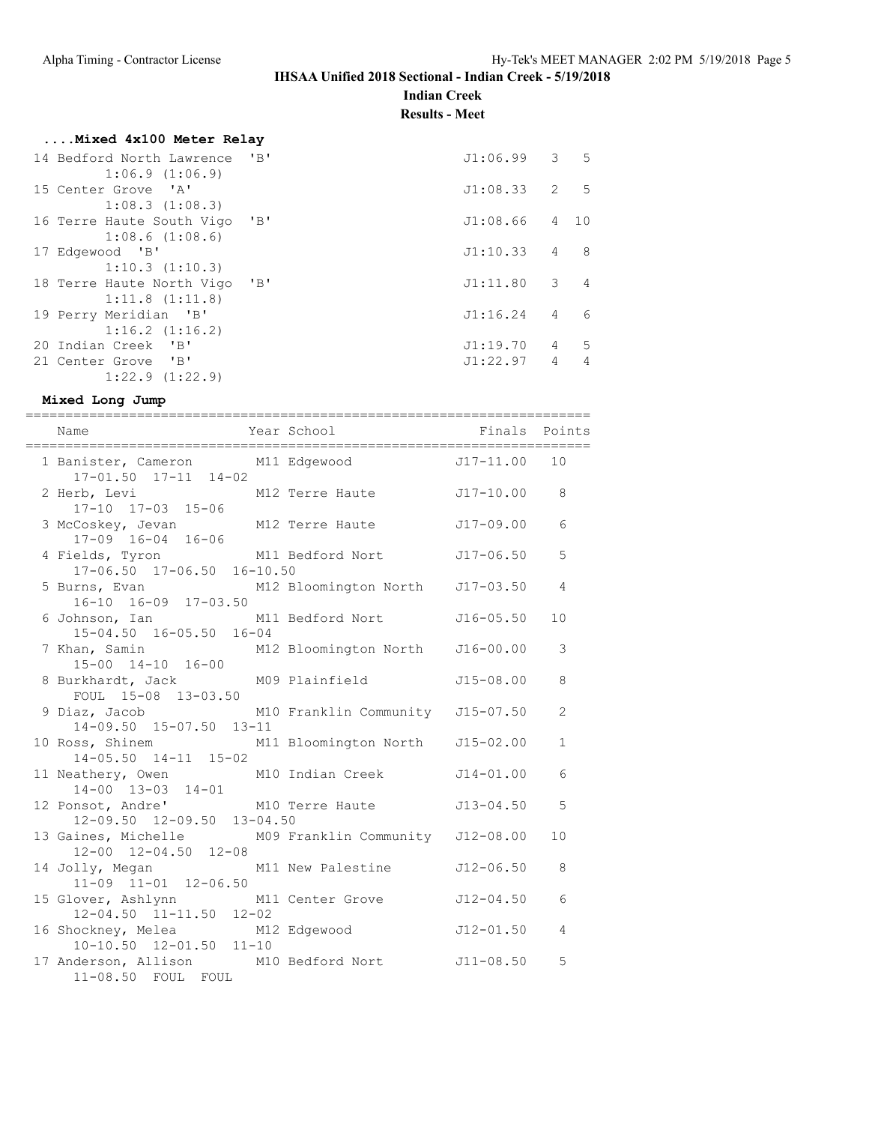**Indian Creek**

**Results - Meet**

## **....Mixed 4x100 Meter Relay**

| 14 Bedford North Lawrence                                           | $'$ B $'$      | J1:06.99     |                | $3 \quad 5$ |
|---------------------------------------------------------------------|----------------|--------------|----------------|-------------|
| 1:06.9(1:06.9)<br>15 Center Grove<br>$\mathsf{I} \wedge \mathsf{I}$ |                | J1:08.33 2 5 |                |             |
| 1:08.3(1:08.3)                                                      |                |              |                |             |
| 16 Terre Haute South Vigo                                           | $\overline{B}$ | J1:08.66     |                | 4 10        |
| 1:08.6(1:08.6)                                                      |                |              |                |             |
| 17 Edgewood 'B'                                                     |                | J1:10.33     | 4              | -8          |
| 1:10.3(1:10.3)                                                      |                |              |                |             |
| 18 Terre Haute North Vigo                                           | $\mathbf{B}$   | J1:11.80     | 3 <sup>7</sup> | 4           |
| 1:11.8(1:11.8)                                                      |                |              |                |             |
| 19 Perry Meridian 'B'                                               |                | J1:16.24     | 4              | 6           |
| $1:16.2$ $(1:16.2)$                                                 |                |              |                |             |
| 20 Indian Creek<br>$\mathbf{B}$                                     |                | J1:19.70     | 4              | -5          |
| 21 Center Grove 'B'                                                 |                | J1:22.97     | $\overline{4}$ | 4           |
| $1:22.9$ $(1:22.9)$                                                 |                |              |                |             |

#### **Mixed Long Jump**

| Name                                                                                | Year School <a> Finals Points</a> School <a> Finals Points</a> |                |
|-------------------------------------------------------------------------------------|----------------------------------------------------------------|----------------|
| 1 Banister, Cameron M11 Edgewood J17-11.00 10<br>$17 - 01.50$ $17 - 11$ $14 - 02$   |                                                                |                |
| 2 Herb, Levi M12 Terre Haute J17-10.00 8<br>17-10 17-03 15-06                       |                                                                |                |
| 3 McCoskey, Jevan M12 Terre Haute J17-09.00<br>17-09 16-04 16-06                    |                                                                | 6              |
| 4 Fields, Tyron M11 Bedford Nort J17-06.50<br>17-06.50 17-06.50 16-10.50            |                                                                | 5              |
| 5 Burns, Evan M12 Bloomington North J17-03.50<br>$16-10$ $16-09$ $17-03.50$         |                                                                | $\overline{4}$ |
| 15-04.50 16-05.50 16-04                                                             |                                                                | 10             |
| 7 Khan, Samin M12 Bloomington North J16-00.00<br>15-00 14-10 16-00                  |                                                                | $\mathcal{S}$  |
| 8 Burkhardt, Jack M09 Plainfield J15-08.00<br>FOUL 15-08 13-03.50                   |                                                                | 8              |
| 9 Diaz, Jacob M10 Franklin Community J15-07.50<br>14-09.50 15-07.50 13-11           |                                                                | $\mathbf{2}$   |
| 10 Ross, Shinem M11 Bloomington North J15-02.00<br>$14 - 05.50$ $14 - 11$ $15 - 02$ |                                                                | $\mathbf{1}$   |
| 11 Neathery, Owen M10 Indian Creek J14-01.00<br>$14 - 00$ $13 - 03$ $14 - 01$       |                                                                | 6              |
| 12 Ponsot, Andre' M10 Terre Haute J13-04.50<br>12-09.50 12-09.50 13-04.50           |                                                                | 5              |
| 13 Gaines, Michelle M09 Franklin Community J12-08.00<br>12-00 12-04.50 12-08        |                                                                | 10             |
| 14 Jolly, Megan M11 New Palestine J12-06.50<br>11-09 11-01 12-06.50                 |                                                                | 8              |
| 15 Glover, Ashlynn M11 Center Grove J12-04.50<br>12-04.50 11-11.50 12-02            |                                                                | 6              |
| 16 Shockney, Melea M12 Edgewood J12-01.50<br>10-10.50 12-01.50 11-10                |                                                                | $\overline{4}$ |
| 17 Anderson, Allison M10 Bedford Nort J11-08.50<br>11-08.50 FOUL FOUL               |                                                                | 5              |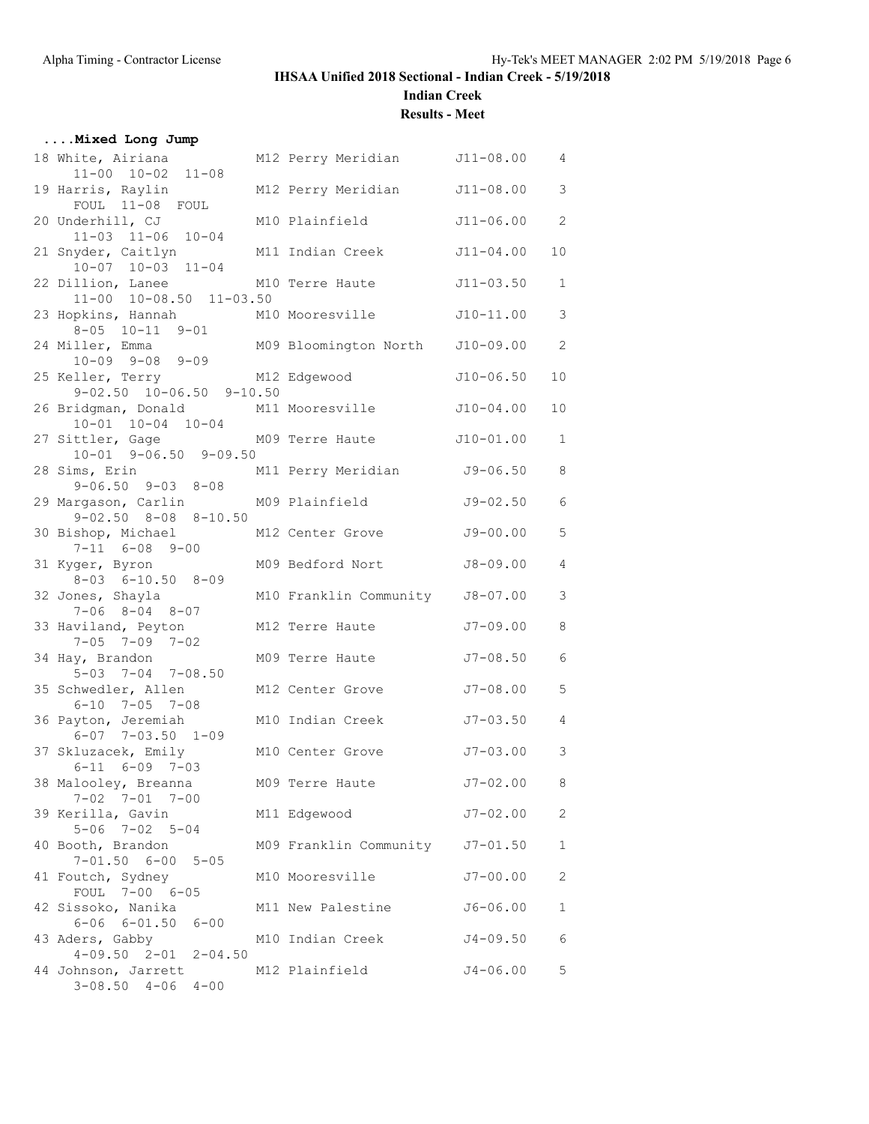**....Mixed Long Jump**

## **IHSAA Unified 2018 Sectional - Indian Creek - 5/19/2018**

**Indian Creek**

**Results - Meet**

| 18 White, Airiana<br>$11-00$ $10-02$ $11-08$                    | M12 Perry Meridian              | $J11 - 08.00$ | $\overline{4}$             |
|-----------------------------------------------------------------|---------------------------------|---------------|----------------------------|
| 19 Harris, Raylin<br>FOUL 11-08 FOUL                            | M12 Perry Meridian              | $J11 - 08.00$ | 3                          |
| 20 Underhill, CJ<br>$11-03$ $11-06$ $10-04$                     | M10 Plainfield                  | $J11 - 06.00$ | $\overline{c}$             |
| 21 Snyder, Caitlyn<br>$10-07$ $10-03$ $11-04$                   | M11 Indian Creek                | $J11 - 04.00$ | 10                         |
| 22 Dillion, Lanee<br>11-00 10-08.50 11-03.50                    | M10 Terre Haute                 | $J11 - 03.50$ | $\mathbf{1}$               |
| 23 Hopkins, Hannah<br>$8 - 05$ $10 - 11$ $9 - 01$               | M10 Mooresville                 | $J10-11.00$   | $\mathcal{S}$              |
| 24 Miller, Emma<br>$10-09$ $9-08$ $9-09$                        | M09 Bloomington North           | $J10-09.00$   | $\overline{\phantom{0}}^2$ |
| 25 Keller, Terry<br>$9-02.50$ $10-06.50$ $9-10.50$              | M12 Edgewood                    | $J10 - 06.50$ | 10                         |
| 26 Bridgman, Donald<br>$10 - 01$ $10 - 04$ $10 - 04$            | M11 Mooresville                 | $J10-04.00$   | 10                         |
| 27 Sittler, Gage M09 Terre Haute<br>$10-01$ $9-06.50$ $9-09.50$ |                                 | $J10-01.00$   | $\mathbf{1}$               |
| 28 Sims, Erin<br>$9 - 06.50$ $9 - 03$ $8 - 08$                  | M11 Perry Meridian              | $J9 - 06.50$  | 8                          |
| 29 Margason, Carlin<br>$9 - 02.50$ $8 - 08$ $8 - 10.50$         | M09 Plainfield                  | $J9 - 02.50$  | 6                          |
| 30 Bishop, Michael<br>$7-11$ $6-08$ $9-00$                      | M12 Center Grove                | J9-00.00      | 5                          |
| 31 Kyger, Byron<br>$8 - 03$ $6 - 10.50$ $8 - 09$                | M09 Bedford Nort                | $J8 - 09.00$  | $\sqrt{4}$                 |
| 32 Jones, Shayla<br>$7 - 06$ $8 - 04$ $8 - 07$                  | M10 Franklin Community J8-07.00 |               | 3                          |
| 33 Haviland, Peyton<br>$7 - 05$ $7 - 09$ $7 - 02$               | M12 Terre Haute                 | $J7 - 09.00$  | 8                          |
| 34 Hay, Brandon<br>$5-03$ $7-04$ $7-08.50$                      | M09 Terre Haute                 | $J7 - 08.50$  | $6\phantom{1}6$            |
| 35 Schwedler, Allen<br>6-10 7-05 7-08                           | M12 Center Grove                | $J7 - 08.00$  | 5                          |
| 36 Payton, Jeremiah<br>$6 - 07$ $7 - 03.50$ $1 - 09$            | M10 Indian Creek                | $J7 - 03.50$  | $\overline{4}$             |
| 37 Skluzacek, Emily<br>$6 - 11$ $6 - 09$ $7 - 03$               | M10 Center Grove                | $J7 - 03.00$  | $\mathcal{S}$              |
| 38 Malooley, Breanna<br>$7 - 02$ $7 - 01$ $7 - 00$              | M09 Terre Haute                 | J7-02.00      | $_{\rm 8}$                 |
| 39 Kerilla, Gavin<br>$5 - 06$ $7 - 02$ $5 - 04$                 | M11 Edgewood                    | $J7 - 02.00$  | $\mathbf{2}$               |
| 40 Booth, Brandon<br>$7 - 01.50$ 6-00 5-05                      | M09 Franklin Community J7-01.50 |               | $\mathbf 1$                |
| 41 Foutch, Sydney<br>FOUL 7-00 6-05                             | M10 Mooresville                 | $J7 - 00.00$  | $\mathbf{2}$               |
| 42 Sissoko, Nanika<br>$6 - 06$ $6 - 01.50$ $6 - 00$             | M11 New Palestine               | $J6 - 06.00$  | $\mathbf 1$                |
| 43 Aders, Gabby<br>$4-09.50$ $2-01$ $2-04.50$                   | M10 Indian Creek                | $J4 - 09.50$  | $\epsilon$                 |
| 44 Johnson, Jarrett<br>$3-08.50$ $4-06$ $4-00$                  | M12 Plainfield                  | $J4 - 06.00$  | 5                          |
|                                                                 |                                 |               |                            |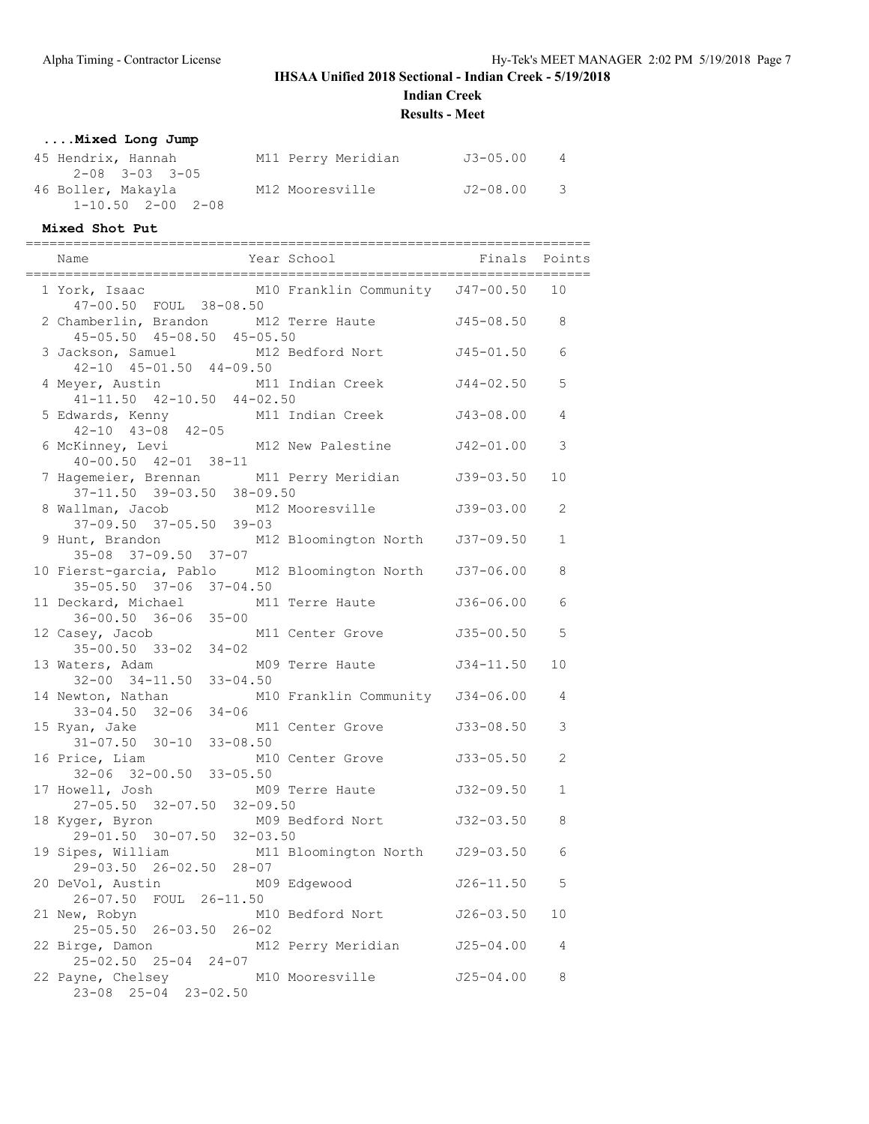**Indian Creek**

**Results - Meet**

## **....Mixed Long Jump**

| 45 Hendrix, Hannah            | M11 Perry Meridian | J3-05.00 | 4                       |
|-------------------------------|--------------------|----------|-------------------------|
| $2 - 0.8$ $3 - 0.3$ $3 - 0.5$ |                    |          |                         |
| 46 Boller, Makayla            | M12 Mooresville    | J2-08.00 | $\overline{\mathbf{3}}$ |
| 1-10.50 2-00 2-08             |                    |          |                         |

#### **Mixed Shot Put**

| Year School <b>Finals</b> Points<br>Name                                                                     |               |              |
|--------------------------------------------------------------------------------------------------------------|---------------|--------------|
| 1 York, Isaac M10 Franklin Community J47-00.50 10<br>47-00.50 FOUL 38-08.50                                  |               |              |
| 2 Chamberlin, Brandon M12 Terre Haute 545-08.50<br>45-05.50 45-08.50 45-05.50                                |               | 8            |
| 3 Jackson, Samuel M12 Bedford Nort<br>$42-10$ $45-01.50$ $44-09.50$                                          | J45-01.50     | 6            |
| 4 Meyer, Austin M11 Indian Creek J44-02.50<br>$41 - 11.50$ $42 - 10.50$ $44 - 02.50$                         |               | 5            |
| 5 Edwards, Kenny M11 Indian Creek J43-08.00<br>$42-10$ $43-08$ $42-05$<br>6 McKinney, Levi M12 New Palestine |               | 4            |
| $40 - 00.50$ $42 - 01$ $38 - 11$                                                                             | J42-01.00     | 3            |
| 7 Hagemeier, Brennan M11 Perry Meridian<br>37-11.50 39-03.50 38-09.50                                        | $J39-03.50$   | 10           |
| 8 Wallman, Jacob M12 Mooresville<br>37-09.50 37-05.50 39-03                                                  | J39-03.00     | 2            |
| 9 Hunt, Brandon M12 Bloomington North J37-09.50<br>35-08 37-09.50 37-07                                      |               | $\mathbf{1}$ |
| 10 Fierst-garcia, Pablo M12 Bloomington North J37-06.00<br>35-05.50 37-06 37-04.50                           |               | 8            |
| 11 Deckard, Michael M11 Terre Haute                                                                          | J36-06.00     | 6            |
| 36-00.50 36-06 35-00<br>12 Casey, Jacob M11 Center Grove<br>35-00.50 33-02 34-02                             | J35-00.50     | 5            |
| 13 Waters, Adam<br>M09 Terre Haute<br>$32-00$ $34-11.50$ $33-04.50$                                          | $J34 - 11.50$ | 10           |
| 14 Newton, Nathan M10 Franklin Community J34-06.00<br>$33 - 04.50$ $32 - 06$ $34 - 06$                       |               | 4            |
| 15 Ryan, Jake M11 Center Grove<br>31-07.50 30-10 33-08.50                                                    | J33-08.50     | 3            |
| 16 Price, Liam M1<br>32-06 32-00.50 33-05.50<br>M10 Center Grove 533-05.50                                   |               | 2            |
| 17 Howell, Josh<br>27-05.50 32-07.50 32-09.50                                                                |               | $\mathbf{1}$ |
| M09 Bedford Nort J32-03.50<br>18 Kyger, Byron<br>29-01.50 30-07.50 32-03.50                                  |               | 8            |
| 19 Sipes, William<br>M11 Bloomington North J29-03.50<br>29-03.50 26-02.50 28-07                              |               | 6            |
| 20 DeVol, Austin<br>M09 Edgewood<br>26-07.50 FOUL 26-11.50                                                   | $J26 - 11.50$ | - 5          |
| M10 Bedford Nort<br>21 New, Robyn<br>25-05.50 26-03.50 26-02                                                 | J26-03.50     | 10           |
| M12 Perry Meridian<br>22 Birge, Damon<br>25-02.50 25-04 24-07                                                | J25-04.00     | 4            |
| 22 Payne, Chelsey M10 Mooresville<br>23-08 25-04 23-02.50                                                    | J25-04.00     | 8            |